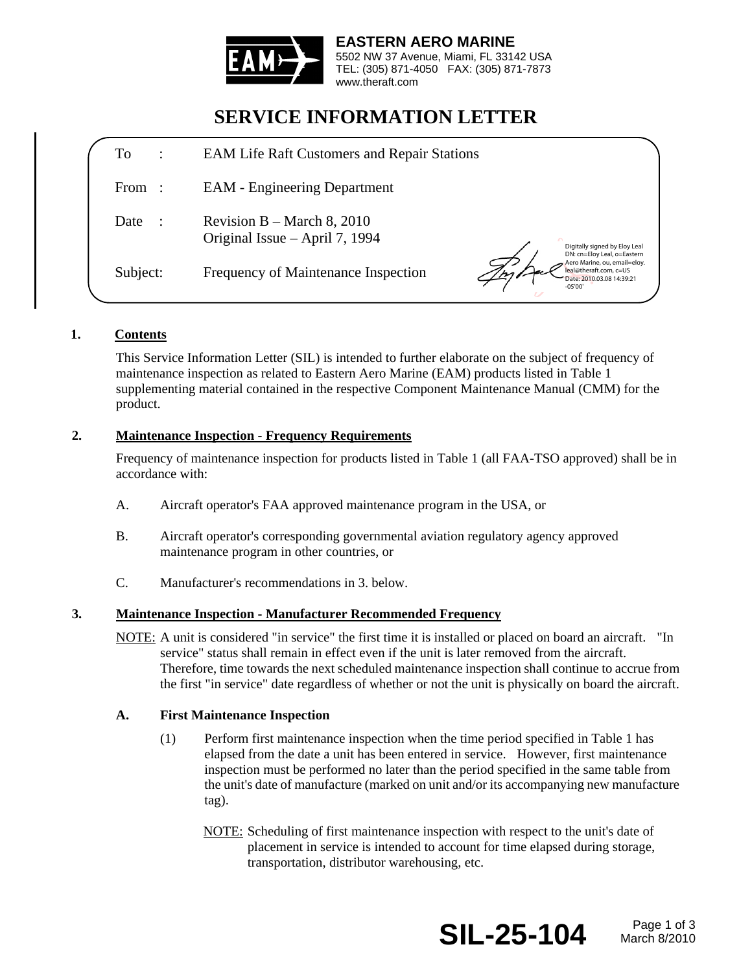

**EASTERN AERO MARINE**  5502 NW 37 Avenue, Miami, FL 33142 USA TEL: (305) 871-4050 FAX: (305) 871-7873 www.theraft.com

# **SERVICE INFORMATION LETTER**

| To<br>$\ddot{\cdot}$ | <b>EAM Life Raft Customers and Repair Stations</b>                                                                                                                     |
|----------------------|------------------------------------------------------------------------------------------------------------------------------------------------------------------------|
| From :               | <b>EAM</b> - Engineering Department                                                                                                                                    |
| Date                 | Revision B – March 8, 2010<br>Original Issue – April 7, 1994<br>Digitally signed by Eloy Leal                                                                          |
| Subject:             | DN: cn=Eloy Leal, o=Eastern<br>Aero Marine, ou, email=eloy.<br>Frequency of Maintenance Inspection<br>leal@theraft.com, c=US<br>Date: 2010.03.08 14:39:21<br>$-05'00'$ |

## **1. Contents**

This Service Information Letter (SIL) is intended to further elaborate on the subject of frequency of maintenance inspection as related to Eastern Aero Marine (EAM) products listed in Table 1 supplementing material contained in the respective Component Maintenance Manual (CMM) for the product.

## **2. Maintenance Inspection - Frequency Requirements**

Frequency of maintenance inspection for products listed in Table 1 (all FAA-TSO approved) shall be in accordance with:

- A. Aircraft operator's FAA approved maintenance program in the USA, or
- B. Aircraft operator's corresponding governmental aviation regulatory agency approved maintenance program in other countries, or
- C. Manufacturer's recommendations in 3. below.

#### **3. Maintenance Inspection - Manufacturer Recommended Frequency**

NOTE: A unit is considered "in service" the first time it is installed or placed on board an aircraft. "In service" status shall remain in effect even if the unit is later removed from the aircraft. Therefore, time towards the next scheduled maintenance inspection shall continue to accrue from the first "in service" date regardless of whether or not the unit is physically on board the aircraft.

#### **A. First Maintenance Inspection**

- (1) Perform first maintenance inspection when the time period specified in Table 1 has elapsed from the date a unit has been entered in service. However, first maintenance inspection must be performed no later than the period specified in the same table from the unit's date of manufacture (marked on unit and/or its accompanying new manufacture tag).
	- NOTE: Scheduling of first maintenance inspection with respect to the unit's date of placement in service is intended to account for time elapsed during storage, transportation, distributor warehousing, etc.



March 8/2010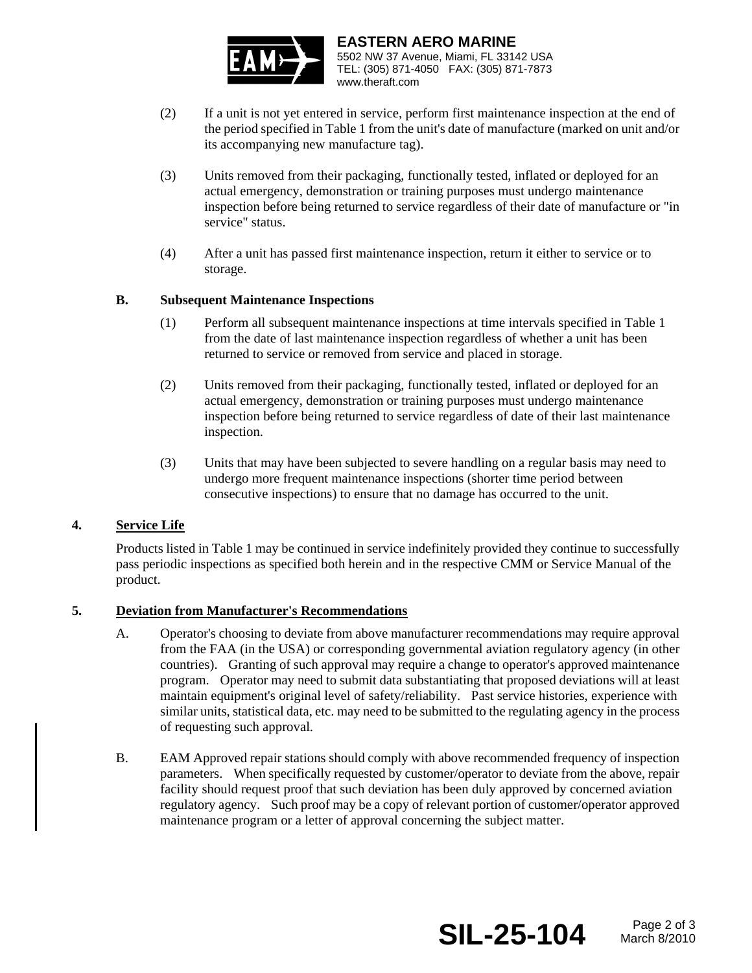

**EASTERN AERO MARINE**  5502 NW 37 Avenue, Miami, FL 33142 USA TEL: (305) 871-4050 FAX: (305) 871-7873 www.theraft.com

- (2) If a unit is not yet entered in service, perform first maintenance inspection at the end of the period specified in Table 1 from the unit's date of manufacture (marked on unit and/or its accompanying new manufacture tag).
- (3) Units removed from their packaging, functionally tested, inflated or deployed for an actual emergency, demonstration or training purposes must undergo maintenance inspection before being returned to service regardless of their date of manufacture or "in service" status.
- (4) After a unit has passed first maintenance inspection, return it either to service or to storage.

### **B. Subsequent Maintenance Inspections**

- (1) Perform all subsequent maintenance inspections at time intervals specified in Table 1 from the date of last maintenance inspection regardless of whether a unit has been returned to service or removed from service and placed in storage.
- (2) Units removed from their packaging, functionally tested, inflated or deployed for an actual emergency, demonstration or training purposes must undergo maintenance inspection before being returned to service regardless of date of their last maintenance inspection.
- (3) Units that may have been subjected to severe handling on a regular basis may need to undergo more frequent maintenance inspections (shorter time period between consecutive inspections) to ensure that no damage has occurred to the unit.

## **4. Service Life**

Products listed in Table 1 may be continued in service indefinitely provided they continue to successfully pass periodic inspections as specified both herein and in the respective CMM or Service Manual of the product.

## **5. Deviation from Manufacturer's Recommendations**

- A. Operator's choosing to deviate from above manufacturer recommendations may require approval from the FAA (in the USA) or corresponding governmental aviation regulatory agency (in other countries). Granting of such approval may require a change to operator's approved maintenance program. Operator may need to submit data substantiating that proposed deviations will at least maintain equipment's original level of safety/reliability. Past service histories, experience with similar units, statistical data, etc. may need to be submitted to the regulating agency in the process of requesting such approval.
- B. EAM Approved repair stations should comply with above recommended frequency of inspection parameters. When specifically requested by customer/operator to deviate from the above, repair facility should request proof that such deviation has been duly approved by concerned aviation regulatory agency. Such proof may be a copy of relevant portion of customer/operator approved maintenance program or a letter of approval concerning the subject matter.